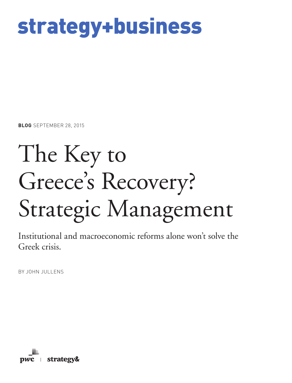## strategy+business

**BLOG** SEPTEMBER 28, 2015

# The Key to Greece's Recovery? Strategic Management

Institutional and macroeconomic reforms alone won't solve the Greek crisis.

BY JOHN JULLENS

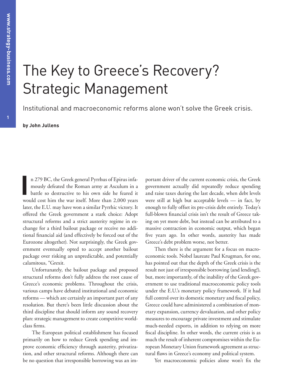### The Key to Greece's Recovery? Strategic Management

Institutional and macroeconomic reforms alone won't solve the Greek crisis.

**by John Jullens**

**I** n 279 BC, the Greek general Pyrrhus of Epirus infamously defeated the Roman army at Asculum in a battle so destructive to his own side he feared it would cost him the war itself. More than 2,000 years later, the E.U. may have won a similar Pyrrhic victory. It offered the Greek government a stark choice: Adopt structural reforms and a strict austerity regime in exchange for a third bailout package or receive no additional financial aid (and effectively be forced out of the Eurozone altogether). Not surprisingly, the Greek government eventually opted to accept another bailout package over risking an unpredictable, and potentially calamitous, "Grexit.

Unfortunately, the bailout package and proposed structural reforms don't fully address the root cause of Greece's economic problems. Throughout the crisis, various camps have debated institutional and economic reforms — which are certainly an important part of any resolution. But there's been little discussion about the third discipline that should inform any sound recovery plan: strategic management to create competitive worldclass firms.

The European political establishment has focused primarily on how to reduce Greek spending and improve economic efficiency through austerity, privatization, and other structural reforms. Although there can be no question that irresponsible borrowing was an important driver of the current economic crisis, the Greek government actually did repeatedly reduce spending and raise taxes during the last decade, when debt levels were still at high but acceptable levels — in fact, by enough to fully offset its pre-crisis debt entirely. Today's full-blown financial crisis isn't the result of Greece taking on yet more debt, but instead can be attributed to a massive contraction in economic output, which began five years ago. In other words, austerity has made Greece's debt problem worse, not better.

Then there is the argument for a focus on macroeconomic tools. Nobel laureate Paul Krugman, for one, has pointed out that the depth of the Greek crisis is the result not just of irresponsible borrowing (and lending!), but, more importantly, of the inability of the Greek government to use traditional macroeconomic policy tools under the E.U.'s monetary policy framework. If it had full control over its domestic monetary and fiscal policy, Greece could have administered a combination of monetary expansion, currency devaluation, and other policy measures to encourage private investment and stimulate much-needed exports, in addition to relying on more fiscal discipline. In other words, the current crisis is as much the result of inherent compromises within the European Monetary Union framework agreement as structural flaws in Greece's economy and political system.

Yet macroeconomic policies alone won't fix the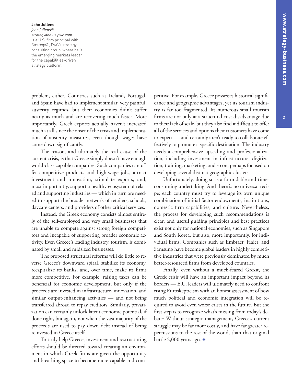**2**

#### **John Jullens** *john.jullens@ strategyand.us.pwc.com* is a U.S. firm principal with Strategy&, PwC's strategy consulting group, where he is the emerging markets leader for the capabilities-driven

strategy platform.

problem, either. Countries such as Ireland, Portugal, and Spain have had to implement similar, very painful, austerity regimes, but their economies didn't suffer nearly as much and are recovering much faster. More importantly, Greek exports actually haven't increased much at all since the onset of the crisis and implementation of austerity measures, even though wages have come down significantly.

The reason, and ultimately the real cause of the current crisis, is that Greece simply doesn't have enough world-class capable companies. Such companies can offer competitive products and high-wage jobs, attract investment and innovation, stimulate exports, and, most importantly, support a healthy ecosystem of related and supporting industries — which in turn are needed to support the broader network of retailers, schools, daycare centers, and providers of other critical services.

Instead, the Greek economy consists almost entirely of the self-employed and very small businesses that are unable to compete against strong foreign competitors and incapable of supporting broader economic activity. Even Greece's leading industry, tourism, is dominated by small and midsized businesses.

The proposed structural reforms will do little to reverse Greece's downward spiral, stabilize its economy, recapitalize its banks, and, over time, make its firms more competitive. For example, raising taxes can be beneficial for economic development, but only if the proceeds are invested in infrastructure, innovation, and similar output-enhancing activities — and not being transferred abroad to repay creditors. Similarly, privatization can certainly unlock latent economic potential, if done right, but again, not when the vast majority of the proceeds are used to pay down debt instead of being reinvested in Greece itself.

To truly help Greece, investment and restructuring efforts should be directed toward creating an environment in which Greek firms are given the opportunity and breathing space to become more capable and competitive. For example, Greece possesses historical significance and geographic advantages, yet its tourism industry is far too fragmented. Its numerous small tourism firms are not only at a structural cost disadvantage due to their lack of scale, but they also find it difficult to offer all of the services and options their customers have come to expect — and certainly aren't ready to collaborate effectively to promote a specific destination. The industry needs a comprehensive upscaling and professionalization, including investment in infrastructure, digitization, training, marketing, and so on, perhaps focused on developing several distinct geographic clusters.

Unfortunately, doing so is a formidable and timeconsuming undertaking. And there is no universal recipe; each country must try to leverage its own unique combination of initial factor endowments, institutions, domestic firm capabilities, and culture. Nevertheless, the process for developing such recommendations is clear, and useful guiding principles and best practices exist not only for national economies, such as Singapore and South Korea, but also, more importantly, for individual firms. Companies such as Embraer, Haier, and Samsung have become global leaders in highly competitive industries that were previously dominated by much better-resourced firms from developed countries.

Finally, even without a much-feared Grexit, the Greek crisis will have an important impact beyond its borders — E.U. leaders will ultimately need to confront rising Euroskepticism with an honest assessment of how much political and economic integration will be required to avoid even worse crises in the future. But the first step is to recognize what's missing from today's debate: Without strategic management, Greece's current struggle may be far more costly, and have far greater repercussions to the rest of the world, than that original battle 2,000 years ago. +